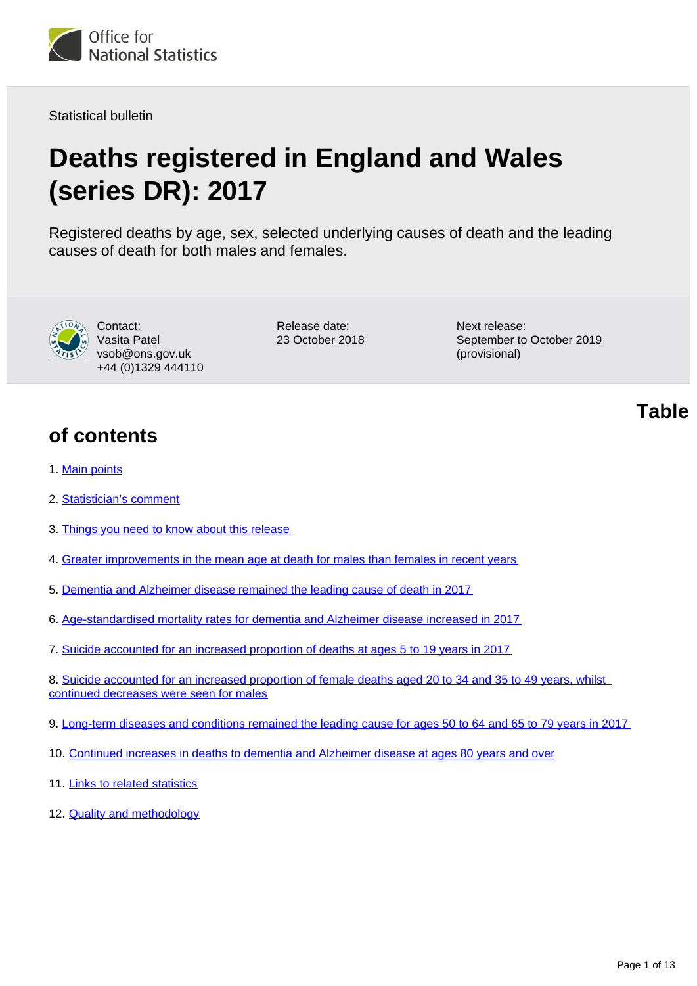

Statistical bulletin

# **Deaths registered in England and Wales (series DR): 2017**

Registered deaths by age, sex, selected underlying causes of death and the leading causes of death for both males and females.



Contact: Vasita Patel vsob@ons.gov.uk +44 (0)1329 444110 Release date: 23 October 2018 Next release: September to October 2019 (provisional)

**of contents**

- 1. [Main points](#page-1-0)
- 2. [Statistician's comment](#page-1-1)
- 3. [Things you need to know about this release](#page-1-2)
- 4. [Greater improvements in the mean age at death for males than females in recent years](#page-2-0)
- 5. [Dementia and Alzheimer disease remained the leading cause of death in 2017](#page-3-0)
- 6. [Age-standardised mortality rates for dementia and Alzheimer disease increased in 2017](#page-5-0)
- 7. [Suicide accounted for an increased proportion of deaths at ages 5 to 19 years in 2017](#page-7-0)
- 8. [Suicide accounted for an increased proportion of female deaths aged 20 to 34 and 35 to 49 years, whilst](#page-8-0)  [continued decreases were seen for males](#page-8-0)
- 9. [Long-term diseases and conditions remained the leading cause for ages 50 to 64 and 65 to 79 years in 2017](#page-9-0)
- 10. [Continued increases in deaths to dementia and Alzheimer disease at ages 80 years and over](#page-10-0)
- 11. [Links to related statistics](#page-10-1)
- 12. **[Quality and methodology](#page-11-0)**

**Table**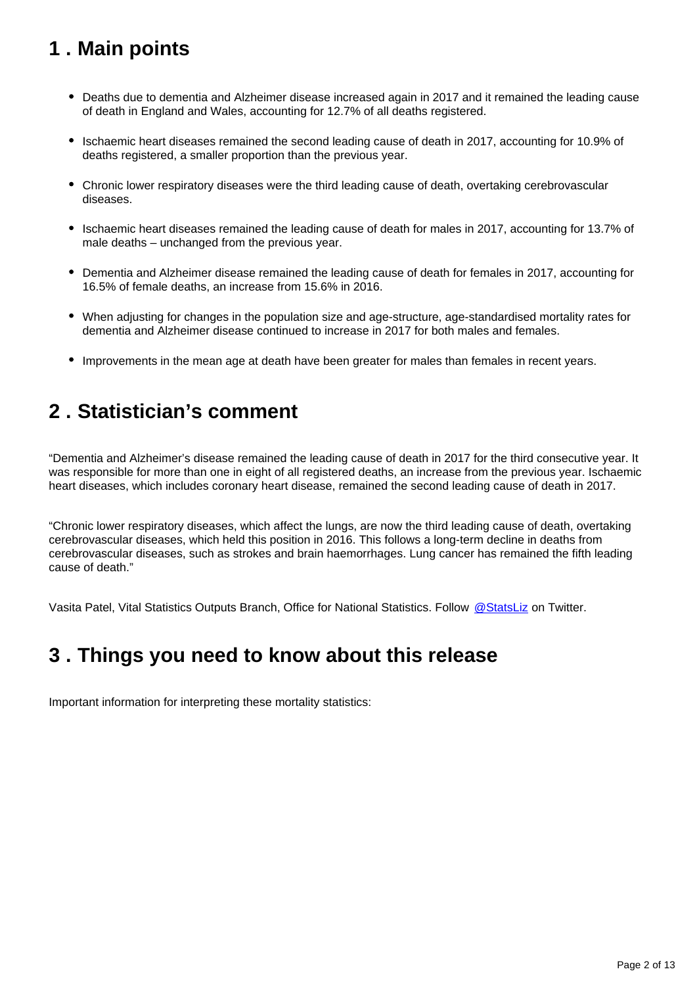## <span id="page-1-0"></span>**1 . Main points**

- Deaths due to dementia and Alzheimer disease increased again in 2017 and it remained the leading cause of death in England and Wales, accounting for 12.7% of all deaths registered.
- Ischaemic heart diseases remained the second leading cause of death in 2017, accounting for 10.9% of deaths registered, a smaller proportion than the previous year.
- Chronic lower respiratory diseases were the third leading cause of death, overtaking cerebrovascular diseases.
- Ischaemic heart diseases remained the leading cause of death for males in 2017, accounting for 13.7% of male deaths – unchanged from the previous year.
- Dementia and Alzheimer disease remained the leading cause of death for females in 2017, accounting for 16.5% of female deaths, an increase from 15.6% in 2016.
- When adjusting for changes in the population size and age-structure, age-standardised mortality rates for dementia and Alzheimer disease continued to increase in 2017 for both males and females.
- Improvements in the mean age at death have been greater for males than females in recent years.

## <span id="page-1-1"></span>**2 . Statistician's comment**

"Dementia and Alzheimer's disease remained the leading cause of death in 2017 for the third consecutive year. It was responsible for more than one in eight of all registered deaths, an increase from the previous year. Ischaemic heart diseases, which includes coronary heart disease, remained the second leading cause of death in 2017.

"Chronic lower respiratory diseases, which affect the lungs, are now the third leading cause of death, overtaking cerebrovascular diseases, which held this position in 2016. This follows a long-term decline in deaths from cerebrovascular diseases, such as strokes and brain haemorrhages. Lung cancer has remained the fifth leading cause of death."

Vasita Patel, Vital Statistics Outputs Branch, Office for National Statistics. Follow [@StatsLiz](https://twitter.com/StatsLiz?ref_src=twsrc%5Etfw) on Twitter.

## <span id="page-1-2"></span>**3 . Things you need to know about this release**

Important information for interpreting these mortality statistics: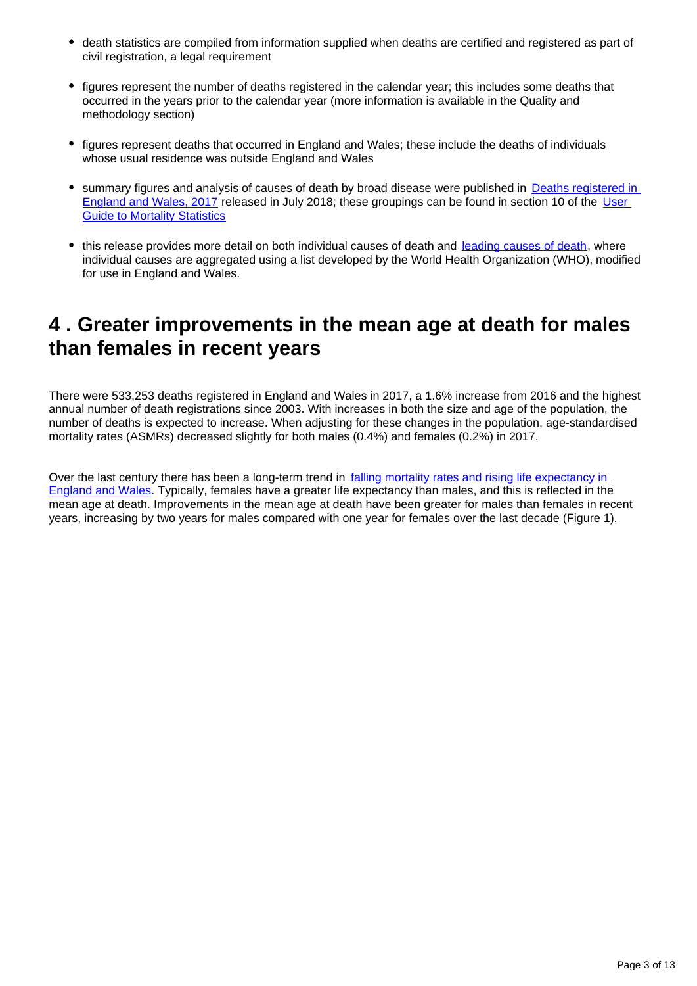- death statistics are compiled from information supplied when deaths are certified and registered as part of civil registration, a legal requirement
- figures represent the number of deaths registered in the calendar year; this includes some deaths that occurred in the years prior to the calendar year (more information is available in the Quality and methodology section)
- figures represent deaths that occurred in England and Wales; these include the deaths of individuals whose usual residence was outside England and Wales
- summary figures and analysis of causes of death by broad disease were published in Deaths registered in [England and Wales, 2017](https://www.ons.gov.uk/peoplepopulationandcommunity/birthsdeathsandmarriages/deaths/bulletins/deathsregistrationsummarytables/2017) released in July 2018; these groupings can be found in section 10 of the [User](https://www.ons.gov.uk/peoplepopulationandcommunity/birthsdeathsandmarriages/deaths/methodologies/userguidetomortalitystatistics)  **[Guide to Mortality Statistics](https://www.ons.gov.uk/peoplepopulationandcommunity/birthsdeathsandmarriages/deaths/methodologies/userguidetomortalitystatistics)**
- this release provides more detail on both individual causes of death and [leading causes of death,](https://www.ons.gov.uk/peoplepopulationandcommunity/birthsdeathsandmarriages/deaths/methodologies/userguidetomortalitystatistics/leadingcausesofdeathinenglandandwalesrevised2016) where individual causes are aggregated using a list developed by the World Health Organization (WHO), modified for use in England and Wales.

## <span id="page-2-0"></span>**4 . Greater improvements in the mean age at death for males than females in recent years**

There were 533,253 deaths registered in England and Wales in 2017, a 1.6% increase from 2016 and the highest annual number of death registrations since 2003. With increases in both the size and age of the population, the number of deaths is expected to increase. When adjusting for these changes in the population, age-standardised mortality rates (ASMRs) decreased slightly for both males (0.4%) and females (0.2%) in 2017.

Over the last century there has been a long-term trend in falling mortality rates and rising life expectancy in [England and Wales](https://www.ons.gov.uk/peoplepopulationandcommunity/birthsdeathsandmarriages/deaths/articles/causesofdeathover100years/2017-09-18). Typically, females have a greater life expectancy than males, and this is reflected in the mean age at death. Improvements in the mean age at death have been greater for males than females in recent years, increasing by two years for males compared with one year for females over the last decade (Figure 1).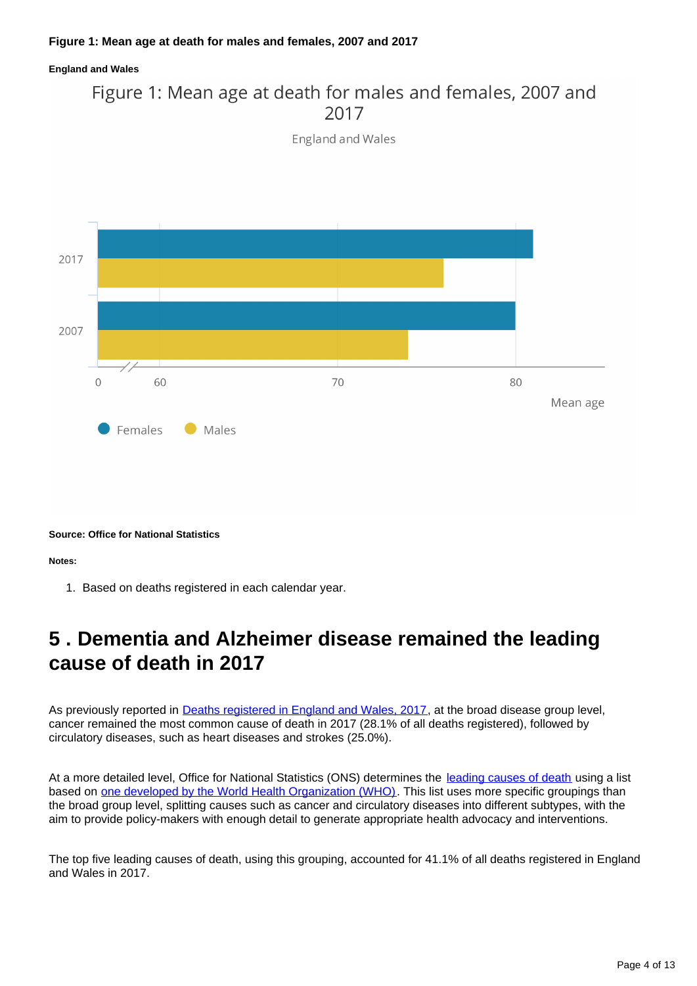### **Figure 1: Mean age at death for males and females, 2007 and 2017**

#### **England and Wales**

## Figure 1: Mean age at death for males and females, 2007 and 2017

**England and Wales** 



**Source: Office for National Statistics**

**Notes:**

1. Based on deaths registered in each calendar year.

## <span id="page-3-0"></span>**5 . Dementia and Alzheimer disease remained the leading cause of death in 2017**

As previously reported in [Deaths registered in England and Wales, 2017](https://www.ons.gov.uk/peoplepopulationandcommunity/birthsdeathsandmarriages/deaths/bulletins/deathsregistrationsummarytables/2017), at the broad disease group level, cancer remained the most common cause of death in 2017 (28.1% of all deaths registered), followed by circulatory diseases, such as heart diseases and strokes (25.0%).

At a more detailed level, Office for National Statistics (ONS) determines the [leading causes of death](https://www.ons.gov.uk/peoplepopulationandcommunity/birthsdeathsandmarriages/deaths/methodologies/userguidetomortalitystatistics/leadingcausesofdeathinenglandandwalesrevised2016) using a list based on [one developed by the World Health Organization \(WHO\)](http://www.who.int/bulletin/volumes/84/4/297arabic.pdf). This list uses more specific groupings than the broad group level, splitting causes such as cancer and circulatory diseases into different subtypes, with the aim to provide policy-makers with enough detail to generate appropriate health advocacy and interventions.

The top five leading causes of death, using this grouping, accounted for 41.1% of all deaths registered in England and Wales in 2017.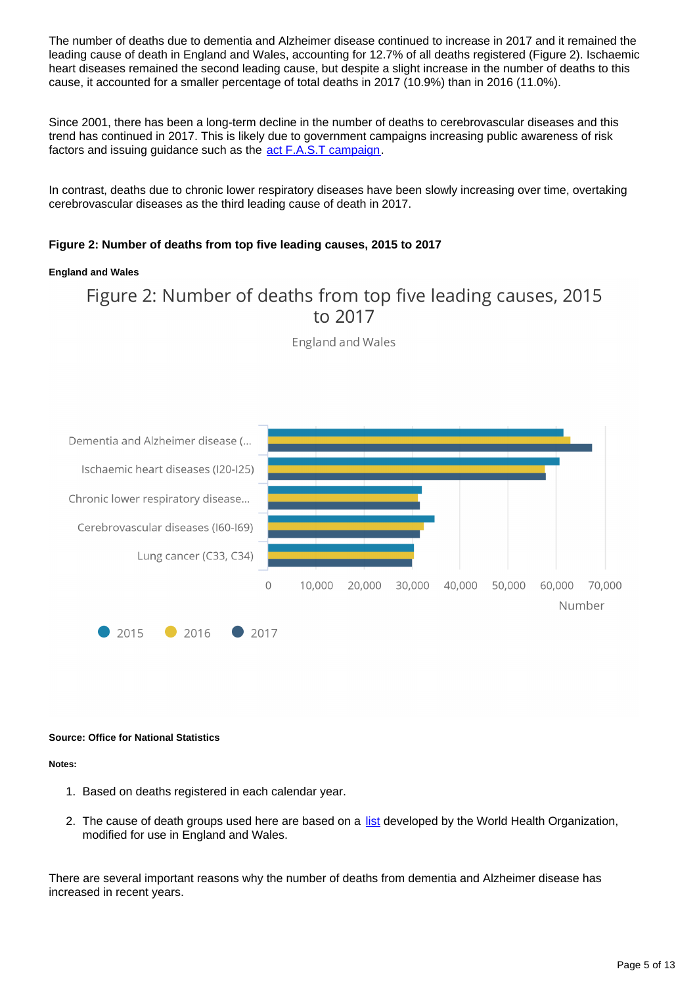The number of deaths due to dementia and Alzheimer disease continued to increase in 2017 and it remained the leading cause of death in England and Wales, accounting for 12.7% of all deaths registered (Figure 2). Ischaemic heart diseases remained the second leading cause, but despite a slight increase in the number of deaths to this cause, it accounted for a smaller percentage of total deaths in 2017 (10.9%) than in 2016 (11.0%).

Since 2001, there has been a long-term decline in the number of deaths to cerebrovascular diseases and this trend has continued in 2017. This is likely due to government campaigns increasing public awareness of risk factors and issuing guidance such as the [act F.A.S.T campaign](https://www.nhs.uk/actfast/Pages/stroke.aspx).

In contrast, deaths due to chronic lower respiratory diseases have been slowly increasing over time, overtaking cerebrovascular diseases as the third leading cause of death in 2017.

### **Figure 2: Number of deaths from top five leading causes, 2015 to 2017**

#### **England and Wales**

## Figure 2: Number of deaths from top five leading causes, 2015 to 2017

England and Wales



#### **Source: Office for National Statistics**

#### **Notes:**

- 1. Based on deaths registered in each calendar year.
- 2. The cause of death groups used here are based on a [list](https://www.ons.gov.uk/peoplepopulationandcommunity/birthsdeathsandmarriages/deaths/methodologies/userguidetomortalitystatistics/leadingcausesofdeathinenglandandwalesrevised2016) developed by the World Health Organization, modified for use in England and Wales.

There are several important reasons why the number of deaths from dementia and Alzheimer disease has increased in recent years.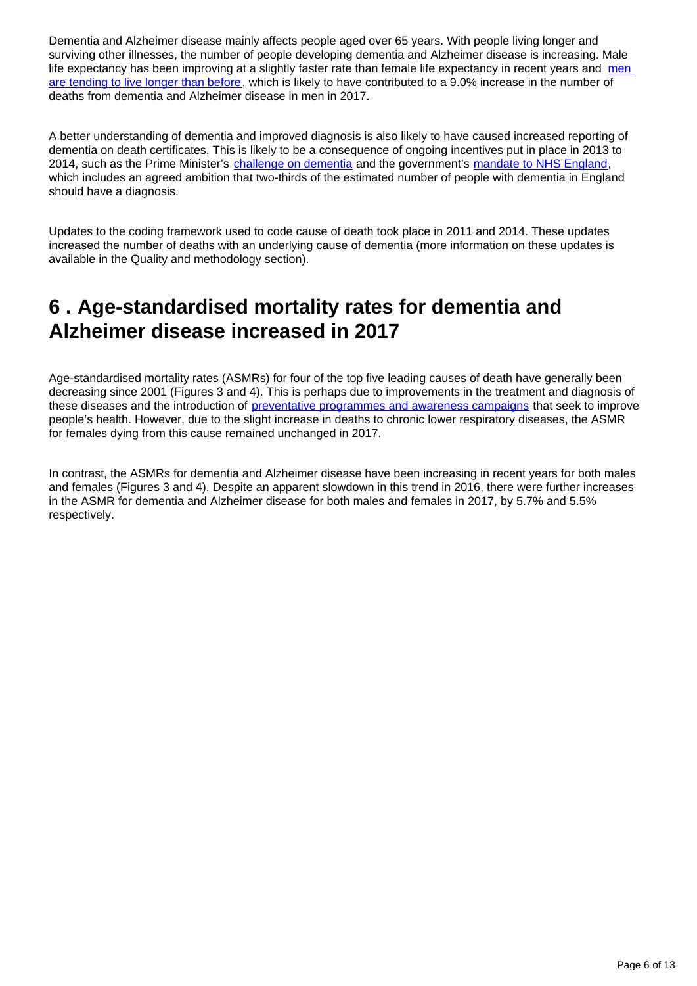Dementia and Alzheimer disease mainly affects people aged over 65 years. With people living longer and surviving other illnesses, the number of people developing dementia and Alzheimer disease is increasing. Male life expectancy has been improving at a slightly faster rate than female life expectancy in recent years and men [are tending to live longer than before,](https://www.ons.gov.uk/peoplepopulationandcommunity/birthsdeathsandmarriages/lifeexpectancies/bulletins/nationallifetablesunitedkingdom/2014to2016) which is likely to have contributed to a 9.0% increase in the number of deaths from dementia and Alzheimer disease in men in 2017.

A better understanding of dementia and improved diagnosis is also likely to have caused increased reporting of dementia on death certificates. This is likely to be a consequence of ongoing incentives put in place in 2013 to 2014, such as the Prime Minister's [challenge on dementia](https://www.gov.uk/government/publications/prime-ministers-challenge-on-dementia-2020) and the government's [mandate to NHS England,](https://www.gov.uk/government/uploads/system/uploads/attachment_data/file/601188/NHS_Mandate_2017-18_A.pdf) which includes an agreed ambition that two-thirds of the estimated number of people with dementia in England should have a diagnosis.

Updates to the coding framework used to code cause of death took place in 2011 and 2014. These updates increased the number of deaths with an underlying cause of dementia (more information on these updates is available in the Quality and methodology section).

## <span id="page-5-0"></span>**6 . Age-standardised mortality rates for dementia and Alzheimer disease increased in 2017**

Age-standardised mortality rates (ASMRs) for four of the top five leading causes of death have generally been decreasing since 2001 (Figures 3 and 4). This is perhaps due to improvements in the treatment and diagnosis of these diseases and the introduction of [preventative programmes and awareness campaigns](https://www.ons.gov.uk/peoplepopulationandcommunity/birthsdeathsandmarriages/deaths/bulletins/deathsregisteredinenglandandwalesseriesdr/2015#what-is-being-done-to-make-the-public-aware-of-their-own-health) that seek to improve people's health. However, due to the slight increase in deaths to chronic lower respiratory diseases, the ASMR for females dying from this cause remained unchanged in 2017.

In contrast, the ASMRs for dementia and Alzheimer disease have been increasing in recent years for both males and females (Figures 3 and 4). Despite an apparent slowdown in this trend in 2016, there were further increases in the ASMR for dementia and Alzheimer disease for both males and females in 2017, by 5.7% and 5.5% respectively.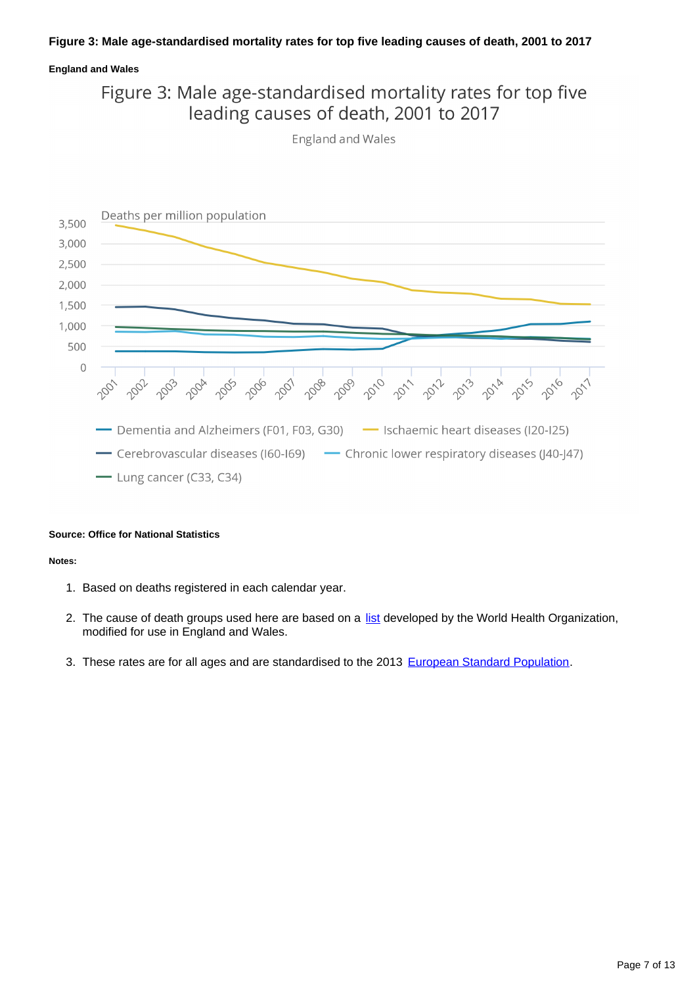### **Figure 3: Male age-standardised mortality rates for top five leading causes of death, 2001 to 2017**

### **England and Wales**

## Figure 3: Male age-standardised mortality rates for top five leading causes of death, 2001 to 2017

England and Wales



#### **Source: Office for National Statistics**

#### **Notes:**

- 1. Based on deaths registered in each calendar year.
- 2. The cause of death groups used here are based on a [list](https://www.ons.gov.uk/peoplepopulationandcommunity/birthsdeathsandmarriages/deaths/methodologies/userguidetomortalitystatistics/leadingcausesofdeathinenglandandwalesrevised2016) developed by the World Health Organization, modified for use in England and Wales.
- 3. These rates are for all ages and are standardised to the 2013 [European Standard Population.](https://www.ons.gov.uk/peoplepopulationandcommunity/birthsdeathsandmarriages/deaths/methodologies/userguidetomortalitystatisticsjuly2017#death-rates-ratios-and-standardisation)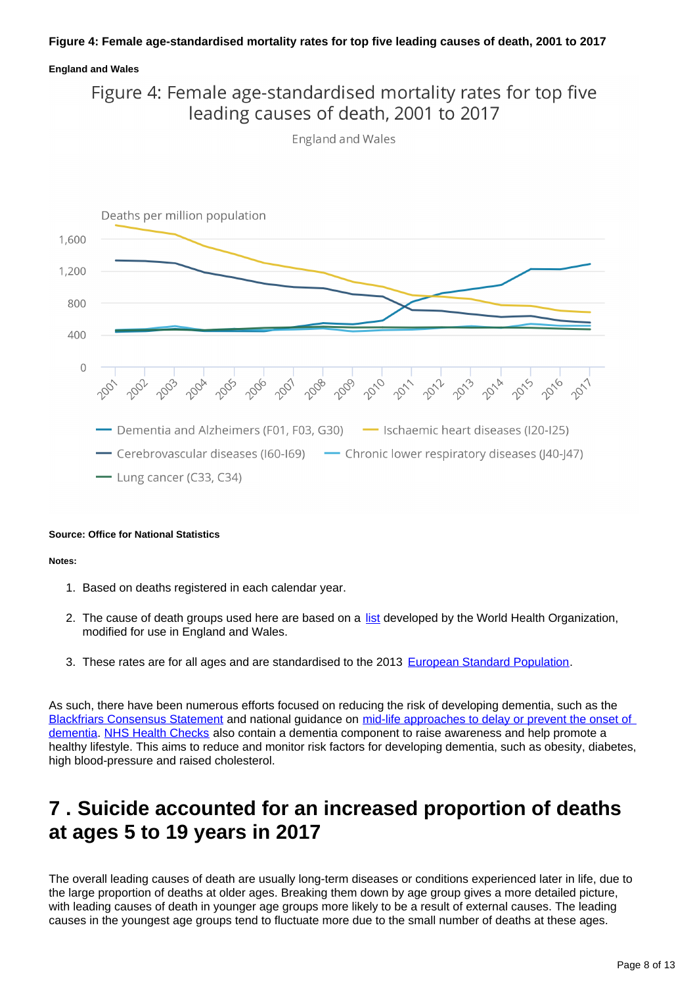### **Figure 4: Female age-standardised mortality rates for top five leading causes of death, 2001 to 2017**

### **England and Wales**

## Figure 4: Female age-standardised mortality rates for top five leading causes of death, 2001 to 2017

**England and Wales** 



#### **Source: Office for National Statistics**

#### **Notes:**

- 1. Based on deaths registered in each calendar year.
- 2. The cause of death groups used here are based on a [list](https://www.ons.gov.uk/peoplepopulationandcommunity/birthsdeathsandmarriages/deaths/methodologies/userguidetomortalitystatistics/leadingcausesofdeathinenglandandwalesrevised2016) developed by the World Health Organization, modified for use in England and Wales.
- 3. These rates are for all ages and are standardised to the 2013 [European Standard Population.](https://www.ons.gov.uk/peoplepopulationandcommunity/birthsdeathsandmarriages/deaths/methodologies/userguidetomortalitystatisticsjuly2017#death-rates-ratios-and-standardisation)

As such, there have been numerous efforts focused on reducing the risk of developing dementia, such as the [Blackfriars Consensus Statement](https://www.gov.uk/government/news/call-for-new-policy-focus-on-brain-health-to-reduce-the-risk-of-dementia) and national guidance on [mid-life approaches to delay or prevent the onset of](https://www.nice.org.uk/guidance/ng16)  [dementia](https://www.nice.org.uk/guidance/ng16). [NHS Health Checks](http://www.healthcheck.nhs.uk/) also contain a dementia component to raise awareness and help promote a healthy lifestyle. This aims to reduce and monitor risk factors for developing dementia, such as obesity, diabetes, high blood-pressure and raised cholesterol.

## <span id="page-7-0"></span>**7 . Suicide accounted for an increased proportion of deaths at ages 5 to 19 years in 2017**

The overall leading causes of death are usually long-term diseases or conditions experienced later in life, due to the large proportion of deaths at older ages. Breaking them down by age group gives a more detailed picture, with leading causes of death in younger age groups more likely to be a result of external causes. The leading causes in the youngest age groups tend to fluctuate more due to the small number of deaths at these ages.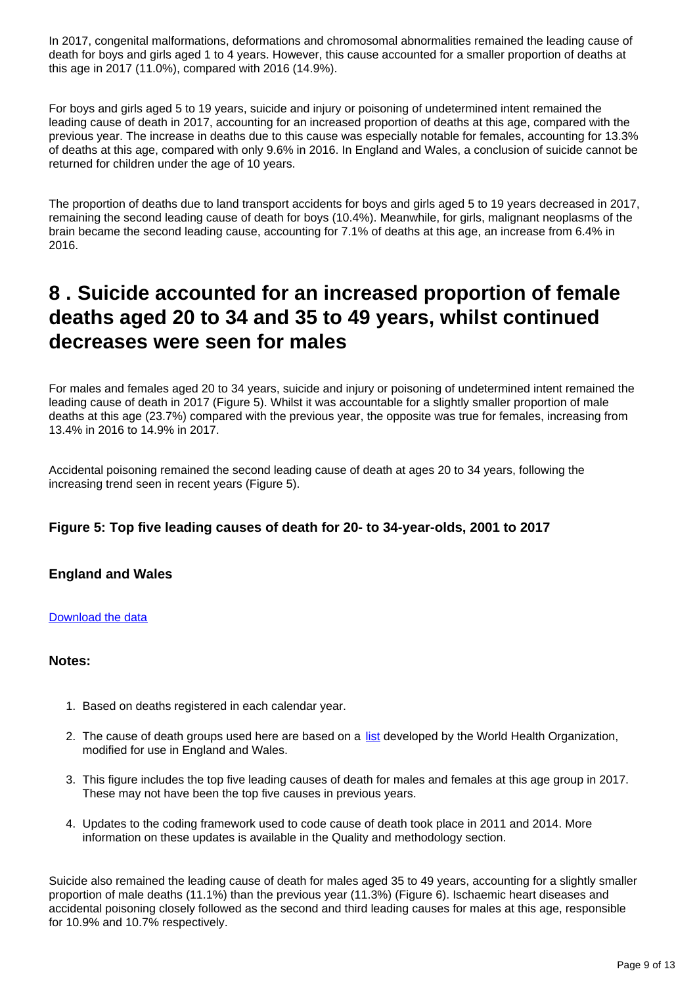In 2017, congenital malformations, deformations and chromosomal abnormalities remained the leading cause of death for boys and girls aged 1 to 4 years. However, this cause accounted for a smaller proportion of deaths at this age in 2017 (11.0%), compared with 2016 (14.9%).

For boys and girls aged 5 to 19 years, suicide and injury or poisoning of undetermined intent remained the leading cause of death in 2017, accounting for an increased proportion of deaths at this age, compared with the previous year. The increase in deaths due to this cause was especially notable for females, accounting for 13.3% of deaths at this age, compared with only 9.6% in 2016. In England and Wales, a conclusion of suicide cannot be returned for children under the age of 10 years.

The proportion of deaths due to land transport accidents for boys and girls aged 5 to 19 years decreased in 2017, remaining the second leading cause of death for boys (10.4%). Meanwhile, for girls, malignant neoplasms of the brain became the second leading cause, accounting for 7.1% of deaths at this age, an increase from 6.4% in 2016.

## <span id="page-8-0"></span>**8 . Suicide accounted for an increased proportion of female deaths aged 20 to 34 and 35 to 49 years, whilst continued decreases were seen for males**

For males and females aged 20 to 34 years, suicide and injury or poisoning of undetermined intent remained the leading cause of death in 2017 (Figure 5). Whilst it was accountable for a slightly smaller proportion of male deaths at this age (23.7%) compared with the previous year, the opposite was true for females, increasing from 13.4% in 2016 to 14.9% in 2017.

Accidental poisoning remained the second leading cause of death at ages 20 to 34 years, following the increasing trend seen in recent years (Figure 5).

## **Figure 5: Top five leading causes of death for 20- to 34-year-olds, 2001 to 2017**

## **England and Wales**

### [Download the data](https://publishing.ons.gov.uk/visualisations/dvc538/dr_data.xls)

### **Notes:**

- 1. Based on deaths registered in each calendar year.
- 2. The cause of death groups used here are based on a [list](https://www.ons.gov.uk/peoplepopulationandcommunity/birthsdeathsandmarriages/deaths/methodologies/userguidetomortalitystatistics/leadingcausesofdeathinenglandandwalesrevised2016) developed by the World Health Organization, modified for use in England and Wales.
- 3. This figure includes the top five leading causes of death for males and females at this age group in 2017. These may not have been the top five causes in previous years.
- 4. Updates to the coding framework used to code cause of death took place in 2011 and 2014. More information on these updates is available in the Quality and methodology section.

Suicide also remained the leading cause of death for males aged 35 to 49 years, accounting for a slightly smaller proportion of male deaths (11.1%) than the previous year (11.3%) (Figure 6). Ischaemic heart diseases and accidental poisoning closely followed as the second and third leading causes for males at this age, responsible for 10.9% and 10.7% respectively.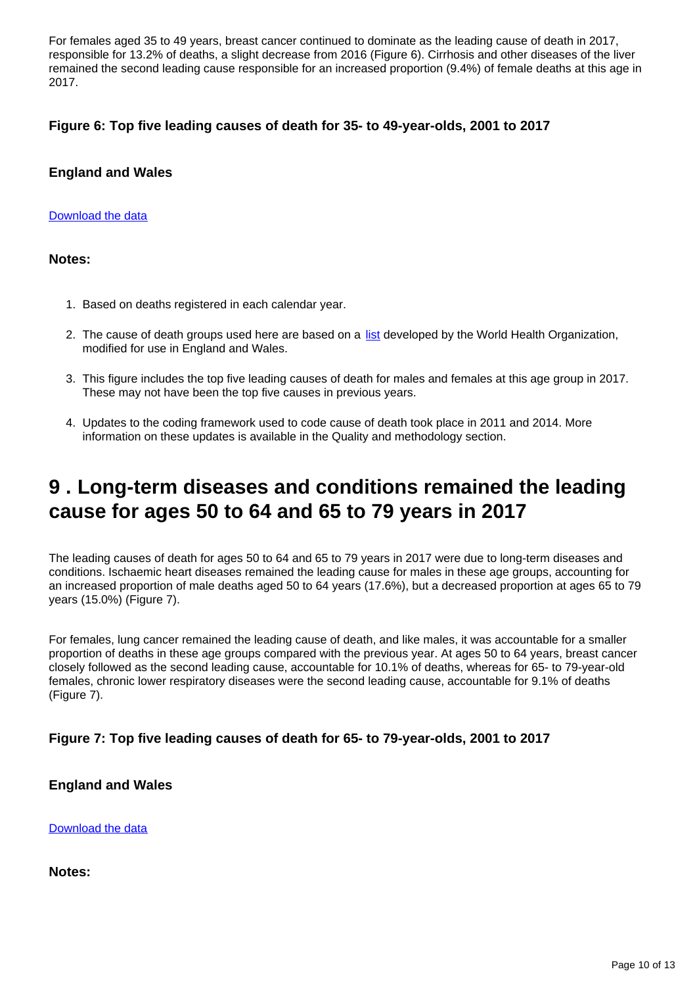For females aged 35 to 49 years, breast cancer continued to dominate as the leading cause of death in 2017, responsible for 13.2% of deaths, a slight decrease from 2016 (Figure 6). Cirrhosis and other diseases of the liver remained the second leading cause responsible for an increased proportion (9.4%) of female deaths at this age in 2017.

### **Figure 6: Top five leading causes of death for 35- to 49-year-olds, 2001 to 2017**

### **England and Wales**

### [Download the data](https://publishing.ons.gov.uk/visualisations/dvc538/dr_data.xls)

### **Notes:**

- 1. Based on deaths registered in each calendar year.
- 2. The cause of death groups used here are based on a [list](https://www.ons.gov.uk/peoplepopulationandcommunity/birthsdeathsandmarriages/deaths/methodologies/userguidetomortalitystatistics/leadingcausesofdeathinenglandandwalesrevised2016) developed by the World Health Organization, modified for use in England and Wales.
- 3. This figure includes the top five leading causes of death for males and females at this age group in 2017. These may not have been the top five causes in previous years.
- 4. Updates to the coding framework used to code cause of death took place in 2011 and 2014. More information on these updates is available in the Quality and methodology section.

## <span id="page-9-0"></span>**9 . Long-term diseases and conditions remained the leading cause for ages 50 to 64 and 65 to 79 years in 2017**

The leading causes of death for ages 50 to 64 and 65 to 79 years in 2017 were due to long-term diseases and conditions. Ischaemic heart diseases remained the leading cause for males in these age groups, accounting for an increased proportion of male deaths aged 50 to 64 years (17.6%), but a decreased proportion at ages 65 to 79 years (15.0%) (Figure 7).

For females, lung cancer remained the leading cause of death, and like males, it was accountable for a smaller proportion of deaths in these age groups compared with the previous year. At ages 50 to 64 years, breast cancer closely followed as the second leading cause, accountable for 10.1% of deaths, whereas for 65- to 79-year-old females, chronic lower respiratory diseases were the second leading cause, accountable for 9.1% of deaths (Figure 7).

## **Figure 7: Top five leading causes of death for 65- to 79-year-olds, 2001 to 2017**

### **England and Wales**

[Download the data](https://publishing.ons.gov.uk/visualisations/dvc538/dr_data.xls)

**Notes:**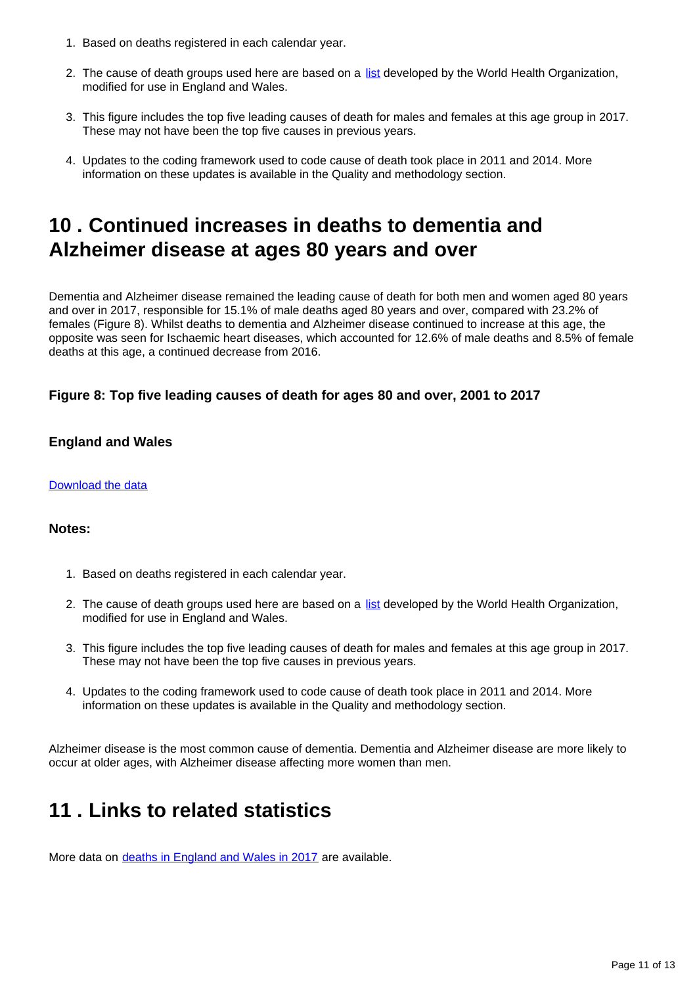- 1. Based on deaths registered in each calendar year.
- 2. The cause of death groups used here are based on a [list](https://www.ons.gov.uk/peoplepopulationandcommunity/birthsdeathsandmarriages/deaths/methodologies/userguidetomortalitystatistics/leadingcausesofdeathinenglandandwalesrevised2016) developed by the World Health Organization, modified for use in England and Wales.
- 3. This figure includes the top five leading causes of death for males and females at this age group in 2017. These may not have been the top five causes in previous years.
- 4. Updates to the coding framework used to code cause of death took place in 2011 and 2014. More information on these updates is available in the Quality and methodology section.

## <span id="page-10-0"></span>**10 . Continued increases in deaths to dementia and Alzheimer disease at ages 80 years and over**

Dementia and Alzheimer disease remained the leading cause of death for both men and women aged 80 years and over in 2017, responsible for 15.1% of male deaths aged 80 years and over, compared with 23.2% of females (Figure 8). Whilst deaths to dementia and Alzheimer disease continued to increase at this age, the opposite was seen for Ischaemic heart diseases, which accounted for 12.6% of male deaths and 8.5% of female deaths at this age, a continued decrease from 2016.

## **Figure 8: Top five leading causes of death for ages 80 and over, 2001 to 2017**

### **England and Wales**

### [Download the data](https://publishing.ons.gov.uk/visualisations/dvc538/dr_data.xls)

### **Notes:**

- 1. Based on deaths registered in each calendar year.
- 2. The cause of death groups used here are based on a [list](https://www.ons.gov.uk/peoplepopulationandcommunity/birthsdeathsandmarriages/deaths/methodologies/userguidetomortalitystatistics/leadingcausesofdeathinenglandandwalesrevised2016) developed by the World Health Organization, modified for use in England and Wales.
- 3. This figure includes the top five leading causes of death for males and females at this age group in 2017. These may not have been the top five causes in previous years.
- 4. Updates to the coding framework used to code cause of death took place in 2011 and 2014. More information on these updates is available in the Quality and methodology section.

Alzheimer disease is the most common cause of dementia. Dementia and Alzheimer disease are more likely to occur at older ages, with Alzheimer disease affecting more women than men.

## <span id="page-10-1"></span>**11 . Links to related statistics**

More data on [deaths in England and Wales in 2017](https://www.ons.gov.uk/peoplepopulationandcommunity/birthsdeathsandmarriages/deaths/datasets/deathsregisteredinenglandandwalesseriesdrreferencetables) are available.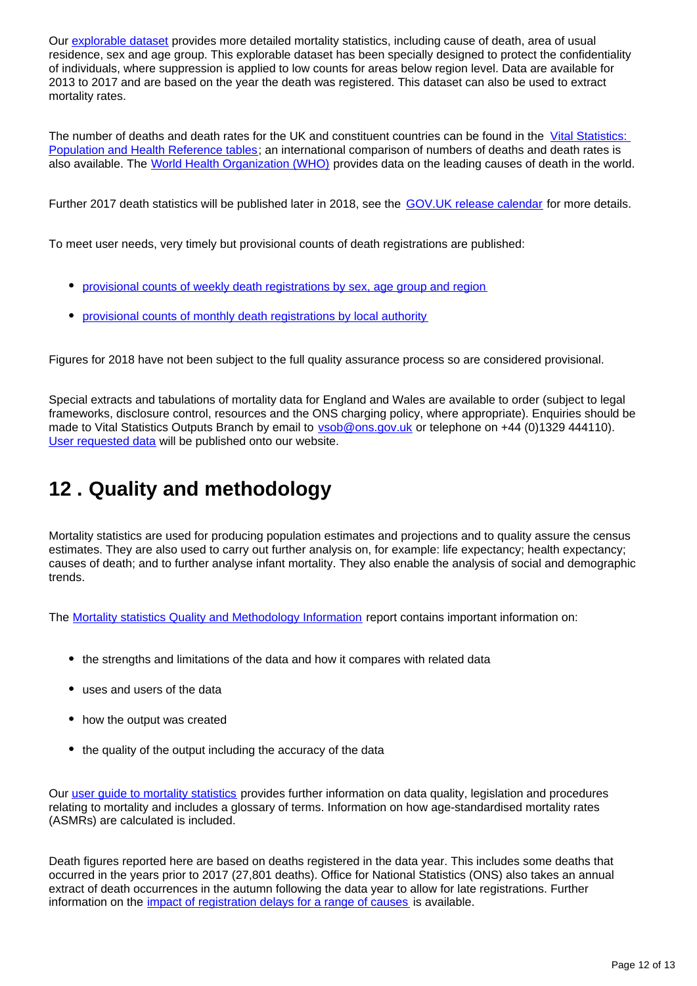Our [explorable dataset](https://www.nomisweb.co.uk/query/select/getdatasetbytheme.asp?theme=73) provides more detailed mortality statistics, including cause of death, area of usual residence, sex and age group. This explorable dataset has been specially designed to protect the confidentiality of individuals, where suppression is applied to low counts for areas below region level. Data are available for 2013 to 2017 and are based on the year the death was registered. This dataset can also be used to extract mortality rates.

The number of deaths and death rates for the UK and constituent countries can be found in the [Vital Statistics:](http://www.ons.gov.uk/peoplepopulationandcommunity/populationandmigration/populationestimates/datasets/vitalstatisticspopulationandhealthreferencetables)  [Population and Health Reference tables;](http://www.ons.gov.uk/peoplepopulationandcommunity/populationandmigration/populationestimates/datasets/vitalstatisticspopulationandhealthreferencetables) an international comparison of numbers of deaths and death rates is also available. The [World Health Organization \(WHO\)](http://who.int/mediacentre/factsheets/fs310/en/) provides data on the leading causes of death in the world.

Further 2017 death statistics will be published later in 2018, see the [GOV.UK release calendar](https://www.gov.uk/government/statistics/announcements) for more details.

To meet user needs, very timely but provisional counts of death registrations are published:

- [provisional counts of weekly death registrations by sex, age group and region](http://www.ons.gov.uk/peoplepopulationandcommunity/birthsdeathsandmarriages/deaths/datasets/weeklyprovisionalfiguresondeathsregisteredinenglandandwales)
- [provisional counts of monthly death registrations by local authority](http://www.ons.gov.uk/peoplepopulationandcommunity/birthsdeathsandmarriages/deaths/datasets/monthlyfiguresondeathsregisteredbyareaofusualresidence)

Figures for 2018 have not been subject to the full quality assurance process so are considered provisional.

Special extracts and tabulations of mortality data for England and Wales are available to order (subject to legal frameworks, disclosure control, resources and the ONS charging policy, where appropriate). Enquiries should be made to Vital Statistics Outputs Branch by email to **vsob@ons.gov.uk** or telephone on +44 (0)1329 444110). [User requested data](https://www.ons.gov.uk/peoplepopulationandcommunity/birthsdeathsandmarriages/deaths/datalist) will be published onto our website.

## <span id="page-11-0"></span>**12 . Quality and methodology**

Mortality statistics are used for producing population estimates and projections and to quality assure the census estimates. They are also used to carry out further analysis on, for example: life expectancy; health expectancy; causes of death; and to further analyse infant mortality. They also enable the analysis of social and demographic trends.

The [Mortality statistics Quality and Methodology Information](https://www.ons.gov.uk/peoplepopulationandcommunity/birthsdeathsandmarriages/deaths/methodologies/mortalitystatisticsinenglandandwalesqmi) report contains important information on:

- the strengths and limitations of the data and how it compares with related data
- uses and users of the data
- how the output was created
- the quality of the output including the accuracy of the data

Our user quide to mortality statistics provides further information on data quality, legislation and procedures relating to mortality and includes a glossary of terms. Information on how age-standardised mortality rates (ASMRs) are calculated is included.

Death figures reported here are based on deaths registered in the data year. This includes some deaths that occurred in the years prior to 2017 (27,801 deaths). Office for National Statistics (ONS) also takes an annual extract of death occurrences in the autumn following the data year to allow for late registrations. Further information on the [impact of registration delays for a range of causes](https://www.ons.gov.uk/peoplepopulationandcommunity/birthsdeathsandmarriages/deaths/methodologies/impactofregistrationdelaysonmortalitystatistics2016) is available.